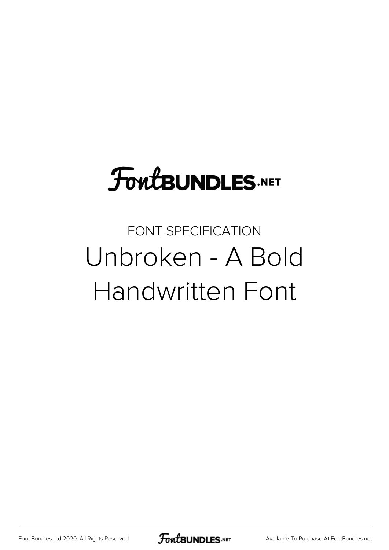### **FoutBUNDLES.NET**

#### FONT SPECIFICATION Unbroken - A Bold Handwritten Font

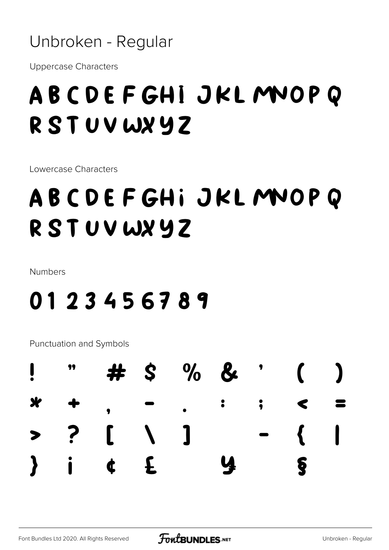Unbroken - Regular

**Uppercase Characters** 

#### ABCDEFGHI JKLMOPQ RSTUVWXYZ

Lowercase Characters

#### ABCDEFGHI JKLMOPO RSTUVWXYZ

**Numbers** 

#### 0123456789

Punctuation and Symbols

|  | $\frac{1}{2}$ " # \$ % & ' ( )          |  |  |  |
|--|-----------------------------------------|--|--|--|
|  | $x + , - , : : : <$                     |  |  |  |
|  | $> ?$ [ \ ] ^ - {                       |  |  |  |
|  | $\}$ i t $\leq$ $\alpha$ $\leq$ $\cdot$ |  |  |  |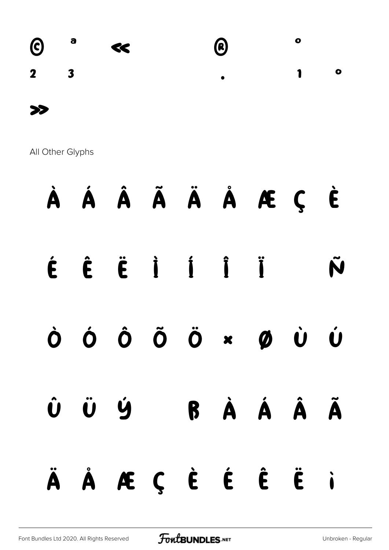

All Other Glyphs

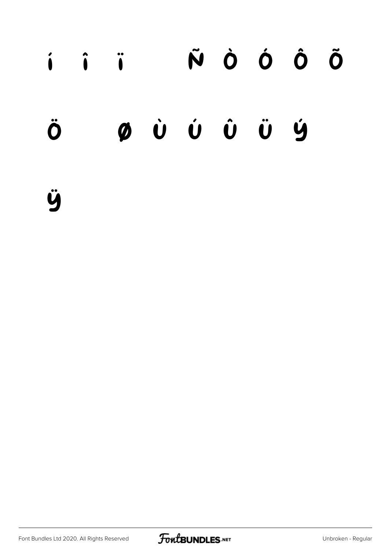## í î ï ñ ò ó ô õ ö ø ù ú û ü ý  $\mathsf{b}$

ÿ

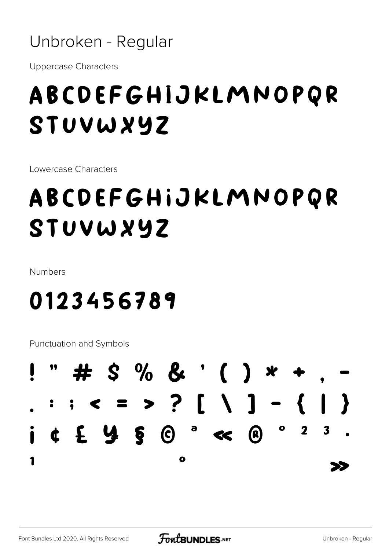Unbroken - Regular

**Uppercase Characters** 

#### ABCDEFGHIJKLMNOPQR STUVWXYZ

Lowercase Characters

#### ABCDEFGHIJKLMNOPQR STUVWXYZ

**Numbers** 

#### 0123456789

**Punctuation and Symbols** 

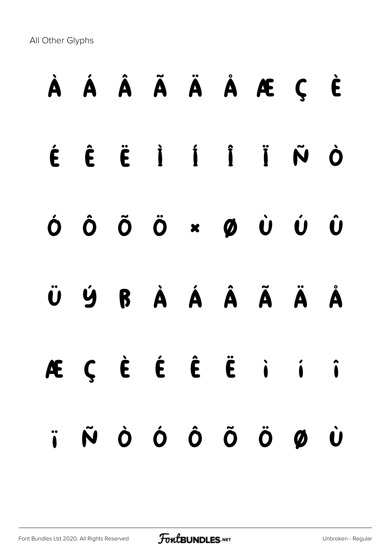All Other Glyphs

# À Á Â Ã Ä Å Æ Ç È É Ê Ë Ì Í Î Ï Ñ Ò Ó Ô Õ Ö × Ø Ù Ú Û Ü Ý ß à á â ã ä å æ ç è é ê ë ì í î ï ñ ò ó ô õ ö ø ù